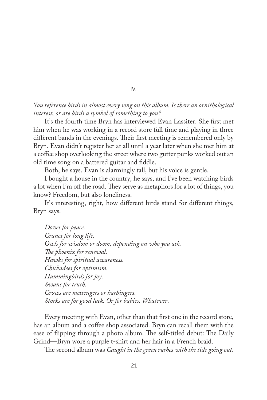*You reference birds in almost every song on this album. Is there an ornithological interest, or are birds a symbol of something to you?*

It's the fourth time Bryn has interviewed Evan Lassiter. She frst met him when he was working in a record store full time and playing in three different bands in the evenings. Their first meeting is remembered only by Bryn. Evan didn't register her at all until a year later when she met him at a coffee shop overlooking the street where two gutter punks worked out an old time song on a battered guitar and fddle.

Both, he says. Evan is alarmingly tall, but his voice is gentle.

I bought a house in the country, he says, and I've been watching birds a lot when I'm off the road. They serve as metaphors for a lot of things, you know? Freedom, but also loneliness.

It's interesting, right, how diferent birds stand for diferent things, Bryn says.

Doves for peace. *Cranes for long life. Owls for wisdom or doom, depending on who you ask. Te phoenix for renewal. Hawks for spiritual awareness. Chickadees for optimism. Hummingbirds for joy. Swans for truth. Crows are messengers or harbingers. Storks are for good luck. Or for babies. Whatever*.

Every meeting with Evan, other than that frst one in the record store, has an album and a coffee shop associated. Bryn can recall them with the ease of flipping through a photo album. The self-titled debut: The Daily Grind—Bryn wore a purple t-shirt and her hair in a French braid.

The second album was *Caught in the green rushes with the tide going out*.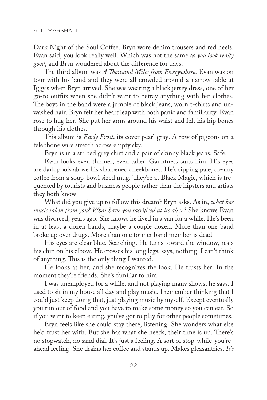Dark Night of the Soul Coffee. Bryn wore denim trousers and red heels. Evan said, you look really well. Which was not the same as *you look really good*, and Bryn wondered about the diference for days.

The third album was *A Thousand Miles from Everywhere*. Evan was on tour with his band and they were all crowded around a narrow table at Iggy's when Bryn arrived. She was wearing a black jersey dress, one of her go-to outfts when she didn't want to betray anything with her clothes. The boys in the band were a jumble of black jeans, worn t-shirts and unwashed hair. Bryn felt her heart leap with both panic and familiarity. Evan rose to hug her. She put her arms around his waist and felt his hip bones through his clothes.

This album is *Early Frost*, its cover pearl gray. A row of pigeons on a telephone wire stretch across empty sky.

Bryn is in a striped grey shirt and a pair of skinny black jeans. Safe.

Evan looks even thinner, even taller. Gauntness suits him. His eyes are dark pools above his sharpened cheekbones. He's sipping pale, creamy coffee from a soup-bowl sized mug. They're at Black Magic, which is frequented by tourists and business people rather than the hipsters and artists they both know.

What did you give up to follow this dream? Bryn asks. As in, *what has music taken from you? What have you sacrifced at its alter?* She knows Evan was divorced, years ago. She knows he lived in a van for a while. He's been in at least a dozen bands, maybe a couple dozen. More than one band broke up over drugs. More than one former band member is dead.

His eyes are clear blue. Searching. He turns toward the window, rests his chin on his elbow. He crosses his long legs, says, nothing. I can't think of anything. This is the only thing I wanted.

He looks at her, and she recognizes the look. He trusts her. In the moment they're friends. She's familiar to him.

I was unemployed for a while, and not playing many shows, he says. I used to sit in my house all day and play music. I remember thinking that I could just keep doing that, just playing music by myself. Except eventually you run out of food and you have to make some money so you can eat. So if you want to keep eating, you've got to play for other people sometimes.

Bryn feels like she could stay there, listening. She wonders what else he'd trust her with. But she has what she needs, their time is up. There's no stopwatch, no sand dial. It's just a feeling. A sort of stop-while-you'reahead feeling. She drains her coffee and stands up. Makes pleasantries. *It's*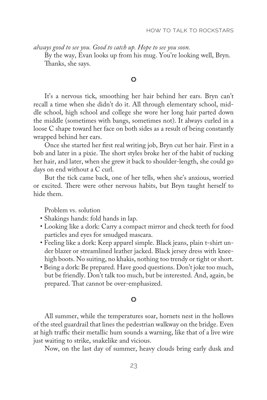*always good to see you. Good to catch up. Hope to see you soon.*

By the way, Evan looks up from his mug. You're looking well, Bryn. Tanks, she says.

## O

It's a nervous tick, smoothing her hair behind her ears. Bryn can't recall a time when she didn't do it. All through elementary school, middle school, high school and college she wore her long hair parted down the middle (sometimes with bangs, sometimes not). It always curled in a loose C shape toward her face on both sides as a result of being constantly wrapped behind her ears.

Once she started her frst real writing job, Bryn cut her hair. First in a bob and later in a pixie. The short styles broke her of the habit of tucking her hair, and later, when she grew it back to shoulder-length, she could go days on end without a C curl.

But the tick came back, one of her tells, when she's anxious, worried or excited. There were other nervous habits, but Bryn taught herself to hide them.

Problem vs. solution

- Shakings hands: fold hands in lap.
- Looking like a dork: Carry a compact mirror and check teeth for food particles and eyes for smudged mascara.
- Feeling like a dork: Keep apparel simple. Black jeans, plain t-shirt under blazer or streamlined leather jacked. Black jersey dress with kneehigh boots. No suiting, no khakis, nothing too trendy or tight or short.
- Being a dork: Be prepared. Have good questions. Don't joke too much, but be friendly. Don't talk too much, but be interested. And, again, be prepared. That cannot be over-emphasized.

## $\odot$

All summer, while the temperatures soar, hornets nest in the hollows of the steel guardrail that lines the pedestrian walkway on the bridge. Even at high traffic their metallic hum sounds a warning, like that of a live wire just waiting to strike, snakelike and vicious.

Now, on the last day of summer, heavy clouds bring early dusk and